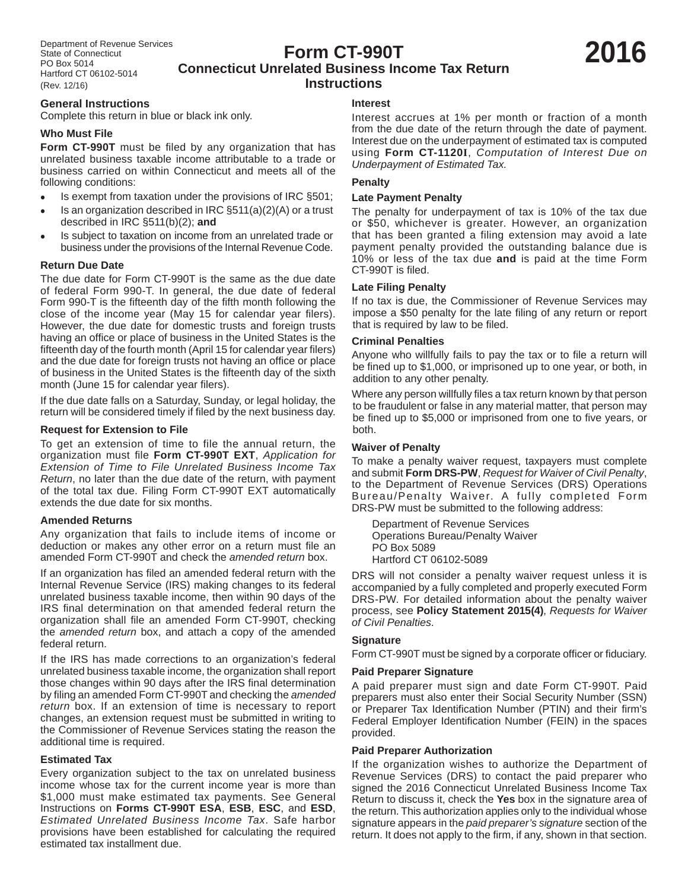## **Form CT-990T Connecticut Unrelated Business Income Tax Return Instructions**

# **General Instructions**

Complete this return in blue or black ink only.

## **Who Must File**

Form CT-990T must be filed by any organization that has unrelated business taxable income attributable to a trade or business carried on within Connecticut and meets all of the following conditions:

- Is exempt from taxation under the provisions of IRC §501;
- Is an organization described in IRC §511(a)(2)(A) or a trust described in IRC §511(b)(2); **and**
- Is subject to taxation on income from an unrelated trade or business under the provisions of the Internal Revenue Code.

#### **Return Due Date**

The due date for Form CT-990T is the same as the due date of federal Form 990-T. In general, the due date of federal Form 990-T is the fifteenth day of the fifth month following the close of the income year (May 15 for calendar year filers). However, the due date for domestic trusts and foreign trusts having an office or place of business in the United States is the fifteenth day of the fourth month (April 15 for calendar year filers) and the due date for foreign trusts not having an office or place of business in the United States is the fifteenth day of the sixth month (June 15 for calendar year filers).

If the due date falls on a Saturday, Sunday, or legal holiday, the return will be considered timely if filed by the next business day.

#### **Request for Extension to File**

To get an extension of time to file the annual return, the organization must file Form CT-990T EXT, Application for *Extension of Time to File Unrelated Business Income Tax Return*, no later than the due date of the return, with payment of the total tax due. Filing Form CT-990T EXT automatically extends the due date for six months.

#### **Amended Returns**

Any organization that fails to include items of income or deduction or makes any other error on a return must file an amended Form CT-990T and check the *amended return* box.

If an organization has filed an amended federal return with the Internal Revenue Service (IRS) making changes to its federal unrelated business taxable income, then within 90 days of the IRS final determination on that amended federal return the organization shall file an amended Form CT-990T, checking the *amended return* box, and attach a copy of the amended federal return.

If the IRS has made corrections to an organization's federal unrelated business taxable income, the organization shall report those changes within 90 days after the IRS final determination by filing an amended Form CT-990T and checking the *amended return* box. If an extension of time is necessary to report changes, an extension request must be submitted in writing to the Commissioner of Revenue Services stating the reason the additional time is required.

#### **Estimated Tax**

Every organization subject to the tax on unrelated business income whose tax for the current income year is more than \$1,000 must make estimated tax payments. See General Instructions on **Forms CT-990T ESA**, **ESB**, **ESC**, and **ESD**, *Estimated Unrelated Business Income Tax*. Safe harbor provisions have been established for calculating the required estimated tax installment due.

#### **Interest**

Interest accrues at 1% per month or fraction of a month from the due date of the return through the date of payment. Interest due on the underpayment of estimated tax is computed using **Form CT-1120I**, *Computation of Interest Due on Underpayment of Estimated Tax.*

#### **Penalty**

#### **Late Payment Penalty**

The penalty for underpayment of tax is 10% of the tax due or \$50, whichever is greater. However, an organization that has been granted a filing extension may avoid a late payment penalty provided the outstanding balance due is 10% or less of the tax due **and** is paid at the time Form CT-990T is filed.

#### **Late Filing Penalty**

If no tax is due, the Commissioner of Revenue Services may impose a \$50 penalty for the late filing of any return or report that is required by law to be filed.

#### **Criminal Penalties**

Anyone who willfully fails to pay the tax or to file a return will be fined up to \$1,000, or imprisoned up to one year, or both, in addition to any other penalty.

Where any person willfully files a tax return known by that person to be fraudulent or false in any material matter, that person may be fined up to \$5,000 or imprisoned from one to five years, or both.

#### **Waiver of Penalty**

To make a penalty waiver request, taxpayers must complete and submit **Form DRS-PW**, *Request for Waiver of Civil Penalty*, to the Department of Revenue Services (DRS) Operations Bureau/Penalty Waiver. A fully completed Form DRS-PW must be submitted to the following address:

 Department of Revenue Services Operations Bureau/Penalty Waiver PO Box 5089 Hartford CT 06102-5089

DRS will not consider a penalty waiver request unless it is accompanied by a fully completed and properly executed Form DRS-PW. For detailed information about the penalty waiver process, see **Policy Statement 2015(4)**, *Requests for Waiver of Civil Penalties*.

#### **Signature**

Form CT-990T must be signed by a corporate officer or fiduciary.

#### **Paid Preparer Signature**

A paid preparer must sign and date Form CT-990T. Paid preparers must also enter their Social Security Number (SSN) or Preparer Tax Identification Number (PTIN) and their firm's Federal Employer Identification Number (FEIN) in the spaces provided.

#### **Paid Preparer Authorization**

If the organization wishes to authorize the Department of Revenue Services (DRS) to contact the paid preparer who signed the 2016 Connecticut Unrelated Business Income Tax Return to discuss it, check the **Yes** box in the signature area of the return. This authorization applies only to the individual whose signature appears in the *paid preparer's signature* section of the return. It does not apply to the firm, if any, shown in that section.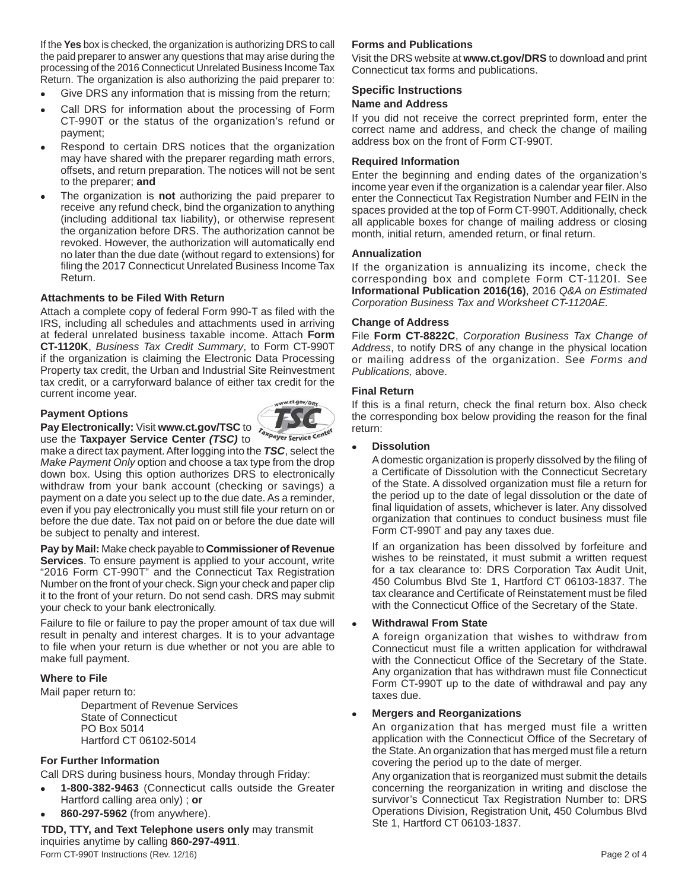If the **Yes** box is checked, the organization is authorizing DRS to call the paid preparer to answer any questions that may arise during the processing of the 2016 Connecticut Unrelated Business Income Tax Return. The organization is also authorizing the paid preparer to:

- Give DRS any information that is missing from the return;
- Call DRS for information about the processing of Form CT-990T or the status of the organization's refund or payment;
- Respond to certain DRS notices that the organization may have shared with the preparer regarding math errors, offsets, and return preparation. The notices will not be sent to the preparer; **and**
- The organization is **not** authorizing the paid preparer to receive any refund check, bind the organization to anything (including additional tax liability), or otherwise represent the organization before DRS. The authorization cannot be revoked. However, the authorization will automatically end no later than the due date (without regard to extensions) for filing the 2017 Connecticut Unrelated Business Income Tax Return.

#### **Attachments to be Filed With Return**

Attach a complete copy of federal Form 990-T as filed with the IRS, including all schedules and attachments used in arriving at federal unrelated business taxable income. Attach **Form CT-1120K**, *Business Tax Credit Summary*, to Form CT-990T if the organization is claiming the Electronic Data Processing Property tax credit, the Urban and Industrial Site Reinvestment tax credit, or a carryforward balance of either tax credit for the current income year.

#### **Payment Options**



**Pay Electronically:** Visit www.ct.gov/TSC to *raxpayer service center* use the **Taxpayer Service Center** *(TSC)* to

make a direct tax payment. After logging into the *TSC*, select the *Make Payment Only* option and choose a tax type from the drop down box. Using this option authorizes DRS to electronically withdraw from your bank account (checking or savings) a payment on a date you select up to the due date. As a reminder, even if you pay electronically you must still file your return on or before the due date. Tax not paid on or before the due date will be subject to penalty and interest.

**Pay by Mail:** Make check payable to **Commissioner of Revenue Services**. To ensure payment is applied to your account, write "2016 Form CT-990T" and the Connecticut Tax Registration Number on the front of your check. Sign your check and paper clip it to the front of your return. Do not send cash. DRS may submit your check to your bank electronically.

Failure to file or failure to pay the proper amount of tax due will result in penalty and interest charges. It is to your advantage to file when your return is due whether or not you are able to make full payment.

#### **Where to File**

Mail paper return to:

 Department of Revenue Services State of Connecticut PO Box 5014 Hartford CT 06102-5014

### **For Further Information**

Call DRS during business hours, Monday through Friday:

- **1-800-382-9463** (Connecticut calls outside the Greater Hartford calling area only) ; **or**
- **860-297-5962** (from anywhere).

**TDD, TTY, and Text Telephone users only** may transmit inquiries anytime by calling **860-297-4911**. Form CT-990T Instructions (Rev. 12/16) **Page 2 of 4** Page 2 of 4

## **Forms and Publications**

Visit the DRS website at **www.ct.gov/DRS** to download and print Connecticut tax forms and publications.

## **Specific Instructions**

#### **Name and Address**

If you did not receive the correct preprinted form, enter the correct name and address, and check the change of mailing address box on the front of Form CT-990T.

#### **Required Information**

Enter the beginning and ending dates of the organization's income year even if the organization is a calendar year filer. Also enter the Connecticut Tax Registration Number and FEIN in the spaces provided at the top of Form CT-990T. Additionally, check all applicable boxes for change of mailing address or closing month, initial return, amended return, or final return.

#### **Annualization**

If the organization is annualizing its income, check the corresponding box and complete Form CT-1120I*.* See **Informational Publication 2016(16)**, 2016 *Q&A on Estimated Corporation Business Tax and Worksheet CT-1120AE.*

#### **Change of Address**

File **Form CT-8822C**, *Corporation Business Tax Change of Address*, to notify DRS of any change in the physical location or mailing address of the organization. See *Forms and Publications,* above.

#### **Final Return**

If this is a final return, check the final return box. Also check the corresponding box below providing the reason for the final return:

#### **Dissolution**

A domestic organization is properly dissolved by the filing of a Certificate of Dissolution with the Connecticut Secretary of the State. A dissolved organization must file a return for the period up to the date of legal dissolution or the date of final liquidation of assets, whichever is later. Any dissolved organization that continues to conduct business must file Form CT-990T and pay any taxes due.

 If an organization has been dissolved by forfeiture and wishes to be reinstated, it must submit a written request for a tax clearance to: DRS Corporation Tax Audit Unit, 450 Columbus Blvd Ste 1, Hartford CT 06103-1837. The tax clearance and Certificate of Reinstatement must be filed with the Connecticut Office of the Secretary of the State.

#### **Withdrawal From State**

 A foreign organization that wishes to withdraw from Connecticut must file a written application for withdrawal with the Connecticut Office of the Secretary of the State. Any organization that has withdrawn must file Connecticut Form CT-990T up to the date of withdrawal and pay any taxes due.

#### **Mergers and Reorganizations**

 An organization that has merged must file a written application with the Connecticut Office of the Secretary of the State. An organization that has merged must file a return covering the period up to the date of merger.

 Any organization that is reorganized must submit the details concerning the reorganization in writing and disclose the survivor's Connecticut Tax Registration Number to: DRS Operations Division, Registration Unit, 450 Columbus Blvd Ste 1, Hartford CT 06103-1837.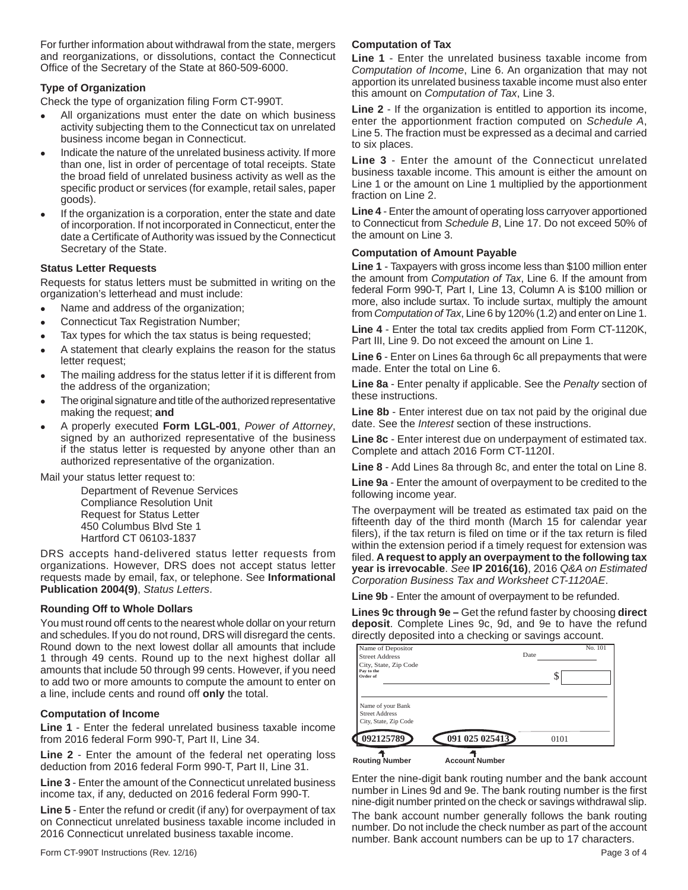For further information about withdrawal from the state, mergers and reorganizations, or dissolutions, contact the Connecticut Office of the Secretary of the State at 860-509-6000.

## **Type of Organization**

Check the type of organization filing Form CT-990T.

- All organizations must enter the date on which business activity subjecting them to the Connecticut tax on unrelated business income began in Connecticut.
- Indicate the nature of the unrelated business activity. If more than one, list in order of percentage of total receipts. State the broad field of unrelated business activity as well as the specific product or services (for example, retail sales, paper goods).
- If the organization is a corporation, enter the state and date of incorporation. If not incorporated in Connecticut, enter the date a Certificate of Authority was issued by the Connecticut Secretary of the State.

## **Status Letter Requests**

Requests for status letters must be submitted in writing on the organization's letterhead and must include:

- Name and address of the organization;
- Connecticut Tax Registration Number;
- Tax types for which the tax status is being requested;
- A statement that clearly explains the reason for the status letter request;
- The mailing address for the status letter if it is different from the address of the organization;
- The original signature and title of the authorized representative making the request; **and**
- A properly executed **Form LGL-001**, *Power of Attorney*, signed by an authorized representative of the business if the status letter is requested by anyone other than an authorized representative of the organization.

Mail your status letter request to:

 Department of Revenue Services Compliance Resolution Unit Request for Status Letter 450 Columbus Blvd Ste 1 Hartford CT 06103-1837

DRS accepts hand-delivered status letter requests from organizations. However, DRS does not accept status letter requests made by email, fax, or telephone. See **Informational Publication 2004(9)**, *Status Letters*.

## **Rounding Off to Whole Dollars**

You must round off cents to the nearest whole dollar on your return and schedules. If you do not round, DRS will disregard the cents. Round down to the next lowest dollar all amounts that include 1 through 49 cents. Round up to the next highest dollar all amounts that include 50 through 99 cents. However, if you need to add two or more amounts to compute the amount to enter on a line, include cents and round off **only** the total.

#### **Computation of Income**

**Line 1** - Enter the federal unrelated business taxable income from 2016 federal Form 990-T, Part II, Line 34.

**Line 2** - Enter the amount of the federal net operating loss deduction from 2016 federal Form 990-T, Part II, Line 31.

**Line 3** - Enter the amount of the Connecticut unrelated business income tax, if any, deducted on 2016 federal Form 990-T.

**Line 5** - Enter the refund or credit (if any) for overpayment of tax on Connecticut unrelated business taxable income included in 2016 Connecticut unrelated business taxable income.

## **Computation of Tax**

**Line 1** - Enter the unrelated business taxable income from *Computation of Income*, Line 6. An organization that may not apportion its unrelated business taxable income must also enter this amount on *Computation of Tax*, Line 3.

**Line 2** - If the organization is entitled to apportion its income, enter the apportionment fraction computed on *Schedule A*, Line 5. The fraction must be expressed as a decimal and carried to six places.

**Line 3** - Enter the amount of the Connecticut unrelated business taxable income. This amount is either the amount on Line 1 or the amount on Line 1 multiplied by the apportionment fraction on Line 2.

**Line 4** - Enter the amount of operating loss carryover apportioned to Connecticut from *Schedule B*, Line 17. Do not exceed 50% of the amount on Line 3.

## **Computation of Amount Payable**

**Line 1** - Taxpayers with gross income less than \$100 million enter the amount from *Computation of Tax*, Line 6. If the amount from federal Form 990-T, Part I, Line 13, Column A is \$100 million or more, also include surtax. To include surtax, multiply the amount from *Computation of Tax*, Line 6 by 120% (1.2) and enter on Line 1.

**Line 4** - Enter the total tax credits applied from Form CT-1120K, Part III, Line 9. Do not exceed the amount on Line 1.

**Line 6** - Enter on Lines 6a through 6c all prepayments that were made. Enter the total on Line 6.

**Line 8a** - Enter penalty if applicable. See the *Penalty* section of these instructions.

**Line 8b** - Enter interest due on tax not paid by the original due date. See the *Interest* section of these instructions.

**Line 8c** - Enter interest due on underpayment of estimated tax. Complete and attach 2016 Form CT-1120I.

**Line 8** - Add Lines 8a through 8c, and enter the total on Line 8.

**Line 9a** - Enter the amount of overpayment to be credited to the following income year.

The overpayment will be treated as estimated tax paid on the fifteenth day of the third month (March 15 for calendar year filers), if the tax return is filed on time or if the tax return is filed within the extension period if a timely request for extension was filed. A request to apply an overpayment to the following tax **year is irrevocable**. *See* **IP 2016(16)**, 2016 *Q&A on Estimated Corporation Business Tax and Worksheet CT-1120AE*.

**Line 9b** - Enter the amount of overpayment to be refunded.

**Lines 9c through 9e –** Get the refund faster by choosing **direct deposit**. Complete Lines 9c, 9d, and 9e to have the refund directly deposited into a checking or savings account.

| Name of Depositor                                                   |                       | No. 101 |
|---------------------------------------------------------------------|-----------------------|---------|
| <b>Street Address</b>                                               |                       | Date    |
| City, State, Zip Code<br>Pay to the<br>Order of                     |                       | S       |
| Name of your Bank<br><b>Street Address</b><br>City, State, Zip Code |                       |         |
| 092125789                                                           | 091 025 025413        | 0101    |
| <b>Routing Number</b>                                               | <b>Account Number</b> |         |

Enter the nine-digit bank routing number and the bank account number in Lines 9d and 9e. The bank routing number is the first nine-digit number printed on the check or savings withdrawal slip. The bank account number generally follows the bank routing number. Do not include the check number as part of the account number. Bank account numbers can be up to 17 characters.